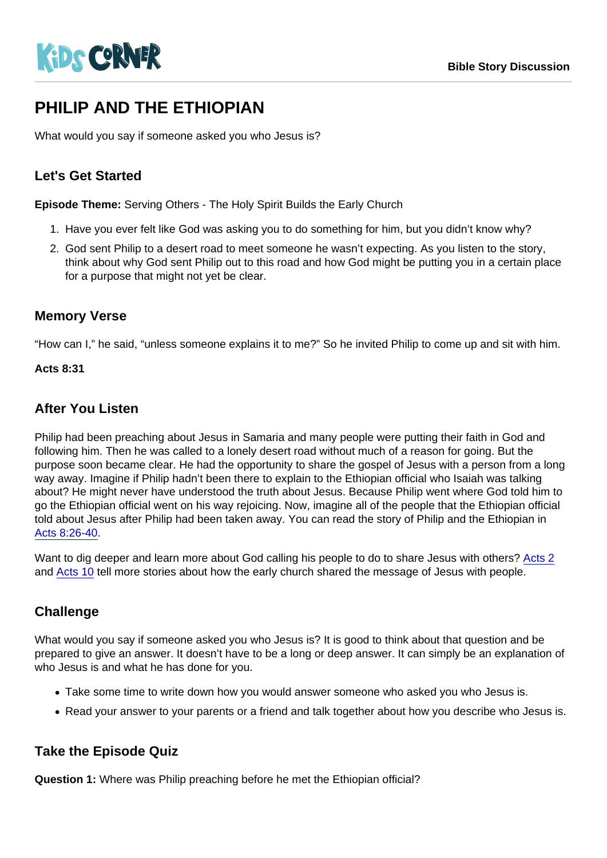# PHILIP AND THE FTHIOPIAN

What would you say if someone asked you who Jesus is?

# Let's Get Started

Episode Theme: Serving Others - The Holy Spirit Builds the Early Church

- 1. Have you ever felt like God was asking you to do something for him, but you didn't know why?
- 2. God sent Philip to a desert road to meet someone he wasn't expecting. As you listen to the story, think about why God sent Philip out to this road and how God might be putting you in a certain place for a purpose that might not yet be clear.

# Memory Verse

"How can I," he said, "unless someone explains it to me?" So he invited Philip to come up and sit with him.

Acts 8:31

#### After You Listen

Philip had been preaching about Jesus in Samaria and many people were putting their faith in God and following him. Then he was called to a lonely desert road without much of a reason for going. But the purpose soon became clear. He had the opportunity to share the gospel of Jesus with a person from a long way away. Imagine if Philip hadn't been there to explain to the Ethiopian official who Isaiah was talking about? He might never have understood the truth about Jesus. Because Philip went where God told him to go the Ethiopian official went on his way rejoicing. Now, imagine all of the people that the Ethiopian official told about Jesus after Philip had been taken away. You can read the story of Philip and the Ethiopian in [Acts 8:26-40.](https://www.biblegateway.com/passage/?search=Acts+8:26-40&version=NIV)

Want to dig deeper and learn more about God calling his people to do to share Jesus with others? [Acts 2](https://www.biblegateway.com/passage/?search=Acts+2&version=NIV) and [Acts 10](https://www.biblegateway.com/passage/?search=Acts+10&version=NIV) tell more stories about how the early church shared the message of Jesus with people.

## **Challenge**

What would you say if someone asked you who Jesus is? It is good to think about that question and be prepared to give an answer. It doesn't have to be a long or deep answer. It can simply be an explanation of who Jesus is and what he has done for you.

- Take some time to write down how you would answer someone who asked you who Jesus is.
- Read your answer to your parents or a friend and talk together about how you describe who Jesus is.

## Take the Episode Quiz

Question 1: Where was Philip preaching before he met the Ethiopian official?